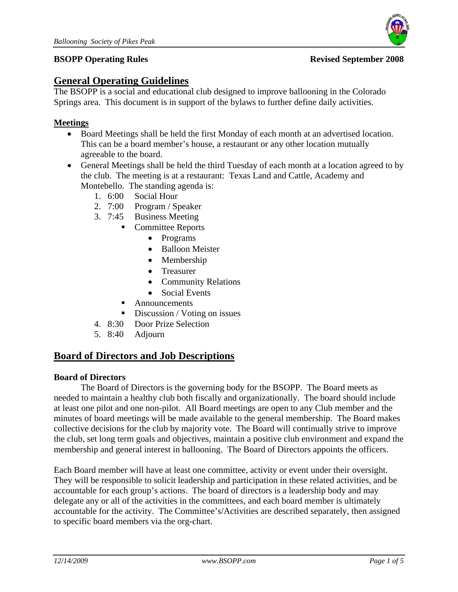



# **General Operating Guidelines**

The BSOPP is a social and educational club designed to improve ballooning in the Colorado Springs area. This document is in support of the bylaws to further define daily activities.

## **Meetings**

- Board Meetings shall be held the first Monday of each month at an advertised location. This can be a board member's house, a restaurant or any other location mutually agreeable to the board.
- General Meetings shall be held the third Tuesday of each month at a location agreed to by the club. The meeting is at a restaurant: Texas Land and Cattle, Academy and Montebello. The standing agenda is:
	- 1. 6:00 Social Hour
	- 2. 7:00 Program / Speaker
	- 3. 7:45 Business Meeting
		- Committee Reports
			- Programs
			- Balloon Meister
			- Membership
			- Treasurer
			- Community Relations
			- Social Events
			- Announcements
		- Discussion / Voting on issues
	- 4. 8:30 Door Prize Selection
	- 5. 8:40 Adjourn

## **Board of Directors and Job Descriptions**

#### **Board of Directors**

 The Board of Directors is the governing body for the BSOPP. The Board meets as needed to maintain a healthy club both fiscally and organizationally. The board should include at least one pilot and one non-pilot. All Board meetings are open to any Club member and the minutes of board meetings will be made available to the general membership. The Board makes collective decisions for the club by majority vote. The Board will continually strive to improve the club, set long term goals and objectives, maintain a positive club environment and expand the membership and general interest in ballooning. The Board of Directors appoints the officers.

Each Board member will have at least one committee, activity or event under their oversight. They will be responsible to solicit leadership and participation in these related activities, and be accountable for each group's actions. The board of directors is a leadership body and may delegate any or all of the activities in the committees, and each board member is ultimately accountable for the activity. The Committee's/Activities are described separately, then assigned to specific board members via the org-chart.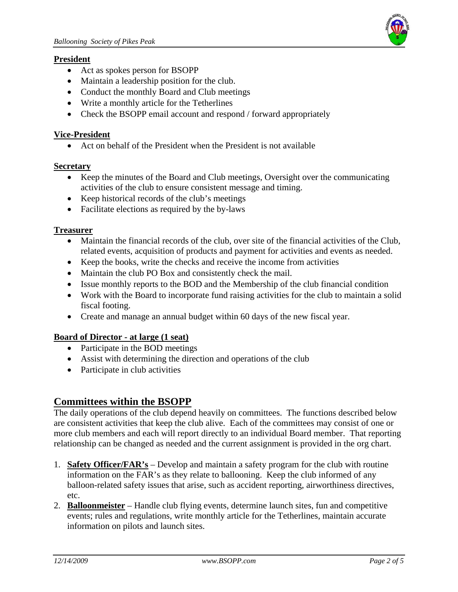

#### **President**

- Act as spokes person for BSOPP
- Maintain a leadership position for the club.
- Conduct the monthly Board and Club meetings
- Write a monthly article for the Tetherlines
- Check the BSOPP email account and respond / forward appropriately

#### **Vice-President**

Act on behalf of the President when the President is not available

#### **Secretary**

- Keep the minutes of the Board and Club meetings, Oversight over the communicating activities of the club to ensure consistent message and timing.
- Keep historical records of the club's meetings
- Facilitate elections as required by the by-laws

#### **Treasurer**

- Maintain the financial records of the club, over site of the financial activities of the Club, related events, acquisition of products and payment for activities and events as needed.
- Keep the books, write the checks and receive the income from activities
- Maintain the club PO Box and consistently check the mail.
- Issue monthly reports to the BOD and the Membership of the club financial condition
- Work with the Board to incorporate fund raising activities for the club to maintain a solid fiscal footing.
- Create and manage an annual budget within 60 days of the new fiscal year.

### **Board of Director - at large (1 seat)**

- Participate in the BOD meetings
- Assist with determining the direction and operations of the club
- Participate in club activities

## **Committees within the BSOPP**

The daily operations of the club depend heavily on committees. The functions described below are consistent activities that keep the club alive. Each of the committees may consist of one or more club members and each will report directly to an individual Board member. That reporting relationship can be changed as needed and the current assignment is provided in the org chart.

- 1. **Safety Officer/FAR's** Develop and maintain a safety program for the club with routine information on the FAR's as they relate to ballooning. Keep the club informed of any balloon-related safety issues that arise, such as accident reporting, airworthiness directives, etc.
- 2. **Balloonmeister** Handle club flying events, determine launch sites, fun and competitive events; rules and regulations, write monthly article for the Tetherlines, maintain accurate information on pilots and launch sites.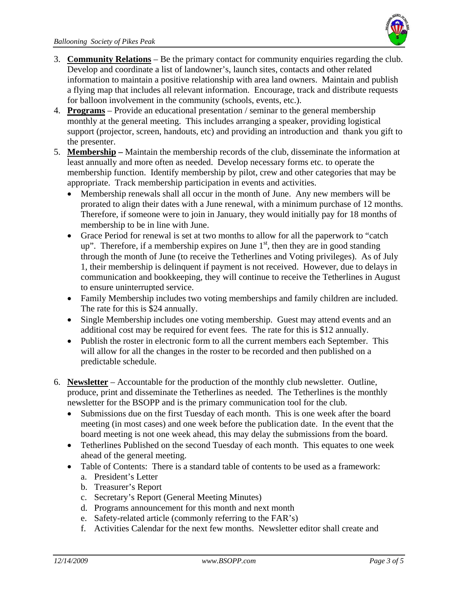

- 3. **Community Relations** Be the primary contact for community enquiries regarding the club. Develop and coordinate a list of landowner's, launch sites, contacts and other related information to maintain a positive relationship with area land owners. Maintain and publish a flying map that includes all relevant information. Encourage, track and distribute requests for balloon involvement in the community (schools, events, etc.).
- 4. **Programs** Provide an educational presentation / seminar to the general membership monthly at the general meeting. This includes arranging a speaker, providing logistical support (projector, screen, handouts, etc) and providing an introduction and thank you gift to the presenter.
- 5. **Membership** Maintain the membership records of the club, disseminate the information at least annually and more often as needed. Develop necessary forms etc. to operate the membership function. Identify membership by pilot, crew and other categories that may be appropriate. Track membership participation in events and activities.
	- Membership renewals shall all occur in the month of June. Any new members will be prorated to align their dates with a June renewal, with a minimum purchase of 12 months. Therefore, if someone were to join in January, they would initially pay for 18 months of membership to be in line with June.
	- Grace Period for renewal is set at two months to allow for all the paperwork to "catch" up". Therefore, if a membership expires on June  $1<sup>st</sup>$ , then they are in good standing through the month of June (to receive the Tetherlines and Voting privileges). As of July 1, their membership is delinquent if payment is not received. However, due to delays in communication and bookkeeping, they will continue to receive the Tetherlines in August to ensure uninterrupted service.
	- Family Membership includes two voting memberships and family children are included. The rate for this is \$24 annually.
	- Single Membership includes one voting membership. Guest may attend events and an additional cost may be required for event fees. The rate for this is \$12 annually.
	- Publish the roster in electronic form to all the current members each September. This will allow for all the changes in the roster to be recorded and then published on a predictable schedule.
- 6. **Newsletter** Accountable for the production of the monthly club newsletter. Outline, produce, print and disseminate the Tetherlines as needed. The Tetherlines is the monthly newsletter for the BSOPP and is the primary communication tool for the club.
	- Submissions due on the first Tuesday of each month. This is one week after the board meeting (in most cases) and one week before the publication date. In the event that the board meeting is not one week ahead, this may delay the submissions from the board.
	- Tetherlines Published on the second Tuesday of each month. This equates to one week ahead of the general meeting.
	- Table of Contents: There is a standard table of contents to be used as a framework:
		- a. President's Letter
		- b. Treasurer's Report
		- c. Secretary's Report (General Meeting Minutes)
		- d. Programs announcement for this month and next month
		- e. Safety-related article (commonly referring to the FAR's)
		- f. Activities Calendar for the next few months. Newsletter editor shall create and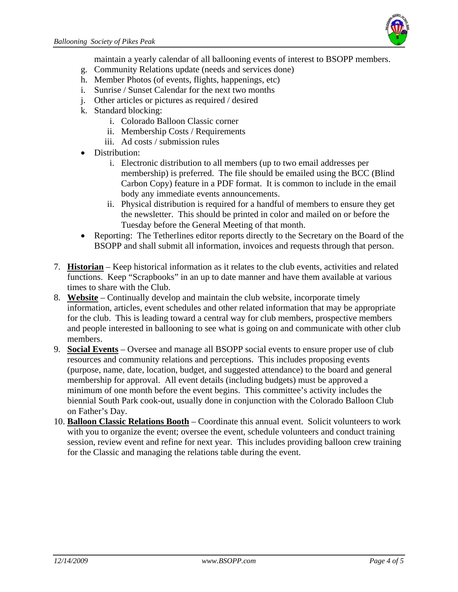

maintain a yearly calendar of all ballooning events of interest to BSOPP members.

- g. Community Relations update (needs and services done)
- h. Member Photos (of events, flights, happenings, etc)
- i. Sunrise / Sunset Calendar for the next two months
- j. Other articles or pictures as required / desired
- k. Standard blocking:
	- i. Colorado Balloon Classic corner
	- ii. Membership Costs / Requirements
	- iii. Ad costs / submission rules
- Distribution:
	- i. Electronic distribution to all members (up to two email addresses per membership) is preferred. The file should be emailed using the BCC (Blind Carbon Copy) feature in a PDF format. It is common to include in the email body any immediate events announcements.
	- ii. Physical distribution is required for a handful of members to ensure they get the newsletter. This should be printed in color and mailed on or before the Tuesday before the General Meeting of that month.
- Reporting: The Tetherlines editor reports directly to the Secretary on the Board of the BSOPP and shall submit all information, invoices and requests through that person.
- 7. **Historian** Keep historical information as it relates to the club events, activities and related functions. Keep "Scrapbooks" in an up to date manner and have them available at various times to share with the Club.
- 8. **Website** Continually develop and maintain the club website, incorporate timely information, articles, event schedules and other related information that may be appropriate for the club. This is leading toward a central way for club members, prospective members and people interested in ballooning to see what is going on and communicate with other club members.
- 9. **Social Events** Oversee and manage all BSOPP social events to ensure proper use of club resources and community relations and perceptions. This includes proposing events (purpose, name, date, location, budget, and suggested attendance) to the board and general membership for approval. All event details (including budgets) must be approved a minimum of one month before the event begins. This committee's activity includes the biennial South Park cook-out, usually done in conjunction with the Colorado Balloon Club on Father's Day.
- 10. **Balloon Classic Relations Booth** Coordinate this annual event. Solicit volunteers to work with you to organize the event; oversee the event, schedule volunteers and conduct training session, review event and refine for next year. This includes providing balloon crew training for the Classic and managing the relations table during the event.